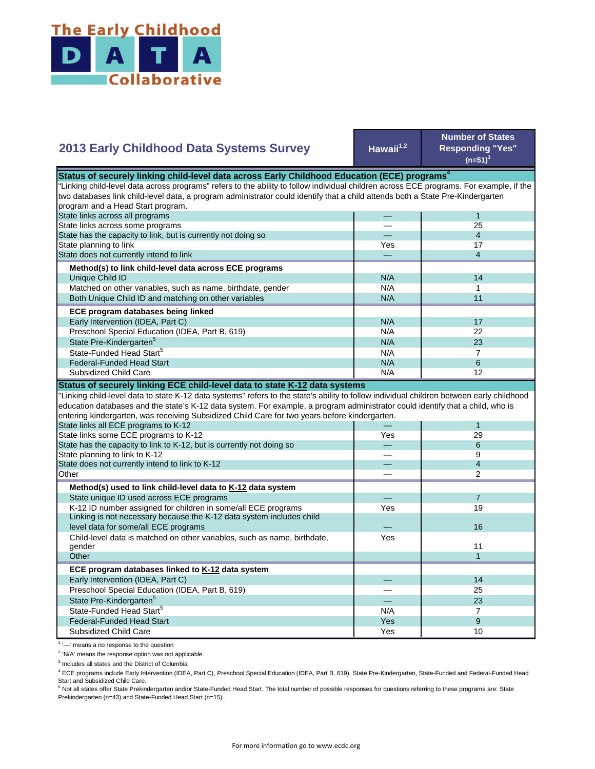

| <b>2013 Early Childhood Data Systems Survey</b>                                                                                           | Hawaii <sup>1,2</sup> | <b>Number of States</b><br><b>Responding "Yes"</b><br>$(n=51)^3$ |  |
|-------------------------------------------------------------------------------------------------------------------------------------------|-----------------------|------------------------------------------------------------------|--|
| Status of securely linking child-level data across Early Childhood Education (ECE) programs <sup>4</sup>                                  |                       |                                                                  |  |
| "Linking child-level data across programs" refers to the ability to follow individual children across ECE programs. For example, if the   |                       |                                                                  |  |
| two databases link child-level data, a program administrator could identify that a child attends both a State Pre-Kindergarten            |                       |                                                                  |  |
| program and a Head Start program.                                                                                                         |                       |                                                                  |  |
| State links across all programs                                                                                                           |                       | $\mathbf{1}$                                                     |  |
| State links across some programs                                                                                                          |                       | 25                                                               |  |
| State has the capacity to link, but is currently not doing so                                                                             |                       | $\overline{4}$                                                   |  |
| State planning to link                                                                                                                    | Yes                   | 17                                                               |  |
| State does not currently intend to link                                                                                                   |                       | $\overline{4}$                                                   |  |
|                                                                                                                                           |                       |                                                                  |  |
| Method(s) to link child-level data across ECE programs                                                                                    |                       |                                                                  |  |
| Unique Child ID                                                                                                                           | N/A                   | 14                                                               |  |
| Matched on other variables, such as name, birthdate, gender                                                                               | N/A                   | 1                                                                |  |
| Both Unique Child ID and matching on other variables                                                                                      | N/A                   | 11                                                               |  |
| ECE program databases being linked                                                                                                        |                       |                                                                  |  |
| Early Intervention (IDEA, Part C)                                                                                                         | N/A                   | 17                                                               |  |
| Preschool Special Education (IDEA, Part B, 619)                                                                                           | N/A                   | 22                                                               |  |
| State Pre-Kindergarten <sup>5</sup>                                                                                                       | N/A                   | 23                                                               |  |
| State-Funded Head Start <sup>5</sup>                                                                                                      | N/A                   | $\overline{7}$                                                   |  |
| <b>Federal-Funded Head Start</b>                                                                                                          | N/A                   | 6                                                                |  |
| Subsidized Child Care                                                                                                                     | N/A                   | 12                                                               |  |
|                                                                                                                                           |                       |                                                                  |  |
| Status of securely linking ECE child-level data to state K-12 data systems                                                                |                       |                                                                  |  |
| 'Linking child-level data to state K-12 data systems" refers to the state's ability to follow individual children between early childhood |                       |                                                                  |  |
| education databases and the state's K-12 data system. For example, a program administrator could identify that a child, who is            |                       |                                                                  |  |
| entering kindergarten, was receiving Subsidized Child Care for two years before kindergarten.                                             |                       |                                                                  |  |
| State links all ECE programs to K-12                                                                                                      |                       | 1                                                                |  |
| State links some ECE programs to K-12                                                                                                     | Yes                   | 29                                                               |  |
| State has the capacity to link to K-12, but is currently not doing so                                                                     |                       | 6                                                                |  |
| State planning to link to K-12                                                                                                            |                       | 9                                                                |  |
| State does not currently intend to link to K-12                                                                                           |                       | $\overline{4}$                                                   |  |
| Other                                                                                                                                     |                       | $\overline{2}$                                                   |  |
| Method(s) used to link child-level data to K-12 data system                                                                               |                       |                                                                  |  |
| State unique ID used across ECE programs                                                                                                  |                       | $\overline{7}$                                                   |  |
| K-12 ID number assigned for children in some/all ECE programs                                                                             | Yes                   | 19                                                               |  |
| Linking is not necessary because the K-12 data system includes child                                                                      |                       |                                                                  |  |
| level data for some/all ECE programs                                                                                                      |                       | 16                                                               |  |
|                                                                                                                                           | Yes                   |                                                                  |  |
| Child-level data is matched on other variables, such as name, birthdate,<br>gender                                                        |                       | 11                                                               |  |
| Other                                                                                                                                     |                       | $\mathbf{1}$                                                     |  |
|                                                                                                                                           |                       |                                                                  |  |
| ECE program databases linked to K-12 data system                                                                                          |                       |                                                                  |  |
| Early Intervention (IDEA, Part C)                                                                                                         |                       | 14                                                               |  |
| Preschool Special Education (IDEA, Part B, 619)                                                                                           |                       | 25                                                               |  |
| State Pre-Kindergarten <sup>5</sup>                                                                                                       |                       | 23                                                               |  |
| State-Funded Head Start <sup>5</sup>                                                                                                      | N/A                   | $\overline{7}$                                                   |  |
| <b>Federal-Funded Head Start</b>                                                                                                          | Yes                   | 9                                                                |  |
| Subsidized Child Care                                                                                                                     | Yes                   | 10                                                               |  |
|                                                                                                                                           |                       |                                                                  |  |

<sup>1</sup> '-' means a no response to the question

<sup>2</sup> 'N/A' means the response option was not applicable

<sup>3</sup> Includes all states and the District of Columbia

<sup>4</sup> ECE programs include Early Intervention (IDEA, Part C), Preschool Special Education (IDEA, Part B, 619), State Pre-Kindergarten, State-Funded and Federal-Funded Head

Start and Subsidized Child Care.<br><sup>5</sup> Not all states offer State Prekindergarten and/or State-Funded Head Start. The total number of possible responses for questions referring to these programs are: State Prekindergarten (n=43) and State-Funded Head Start (n=15).